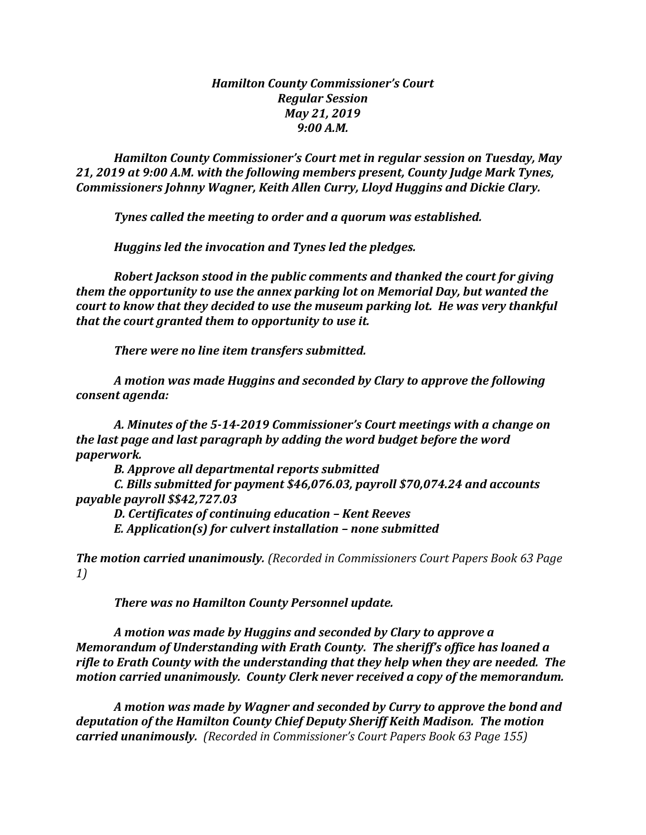## *Hamilton County Commissioner's Court Regular Session May 21, 2019 9:00 A.M.*

*Hamilton County Commissioner's Court met in regular session on Tuesday, May 21, 2019 at 9:00 A.M. with the following members present, County Judge Mark Tynes, Commissioners Johnny Wagner, Keith Allen Curry, Lloyd Huggins and Dickie Clary.*

*Tynes called the meeting to order and a quorum was established.*

*Huggins led the invocation and Tynes led the pledges.*

*Robert Jackson stood in the public comments and thanked the court for giving them the opportunity to use the annex parking lot on Memorial Day, but wanted the court to know that they decided to use the museum parking lot. He was very thankful that the court granted them to opportunity to use it.*

*There were no line item transfers submitted.*

*A motion was made Huggins and seconded by Clary to approve the following consent agenda:*

*A. Minutes of the 5-14-2019 Commissioner's Court meetings with a change on the last page and last paragraph by adding the word budget before the word paperwork.*

*B. Approve all departmental reports submitted*

*C. Bills submitted for payment \$46,076.03, payroll \$70,074.24 and accounts payable payroll \$\$42,727.03*

*D. Certificates of continuing education – Kent Reeves E. Application(s) for culvert installation – none submitted*

*The motion carried unanimously. (Recorded in Commissioners Court Papers Book 63 Page 1)*

*There was no Hamilton County Personnel update.*

*A motion was made by Huggins and seconded by Clary to approve a Memorandum of Understanding with Erath County. The sheriff's office has loaned a rifle to Erath County with the understanding that they help when they are needed. The motion carried unanimously. County Clerk never received a copy of the memorandum.*

*A motion was made by Wagner and seconded by Curry to approve the bond and deputation of the Hamilton County Chief Deputy Sheriff Keith Madison. The motion carried unanimously. (Recorded in Commissioner's Court Papers Book 63 Page 155)*